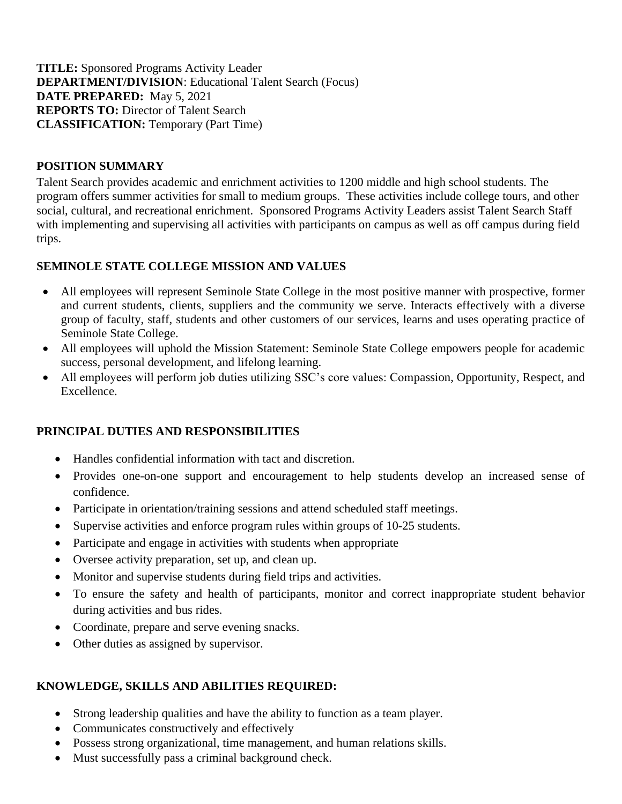**TITLE:** Sponsored Programs Activity Leader **DEPARTMENT/DIVISION**: Educational Talent Search (Focus) **DATE PREPARED:** May 5, 2021 **REPORTS TO:** Director of Talent Search **CLASSIFICATION:** Temporary (Part Time)

### **POSITION SUMMARY**

Talent Search provides academic and enrichment activities to 1200 middle and high school students. The program offers summer activities for small to medium groups. These activities include college tours, and other social, cultural, and recreational enrichment. Sponsored Programs Activity Leaders assist Talent Search Staff with implementing and supervising all activities with participants on campus as well as off campus during field trips.

### **SEMINOLE STATE COLLEGE MISSION AND VALUES**

- All employees will represent Seminole State College in the most positive manner with prospective, former and current students, clients, suppliers and the community we serve. Interacts effectively with a diverse group of faculty, staff, students and other customers of our services, learns and uses operating practice of Seminole State College.
- All employees will uphold the Mission Statement: Seminole State College empowers people for academic success, personal development, and lifelong learning.
- All employees will perform job duties utilizing SSC's core values: Compassion, Opportunity, Respect, and Excellence.

## **PRINCIPAL DUTIES AND RESPONSIBILITIES**

- Handles confidential information with tact and discretion.
- Provides one-on-one support and encouragement to help students develop an increased sense of confidence.
- Participate in orientation/training sessions and attend scheduled staff meetings.
- Supervise activities and enforce program rules within groups of 10-25 students.
- Participate and engage in activities with students when appropriate
- Oversee activity preparation, set up, and clean up.
- Monitor and supervise students during field trips and activities.
- To ensure the safety and health of participants, monitor and correct inappropriate student behavior during activities and bus rides.
- Coordinate, prepare and serve evening snacks.
- Other duties as assigned by supervisor.

## **KNOWLEDGE, SKILLS AND ABILITIES REQUIRED:**

- Strong leadership qualities and have the ability to function as a team player.
- Communicates constructively and effectively
- Possess strong organizational, time management, and human relations skills.
- Must successfully pass a criminal background check.